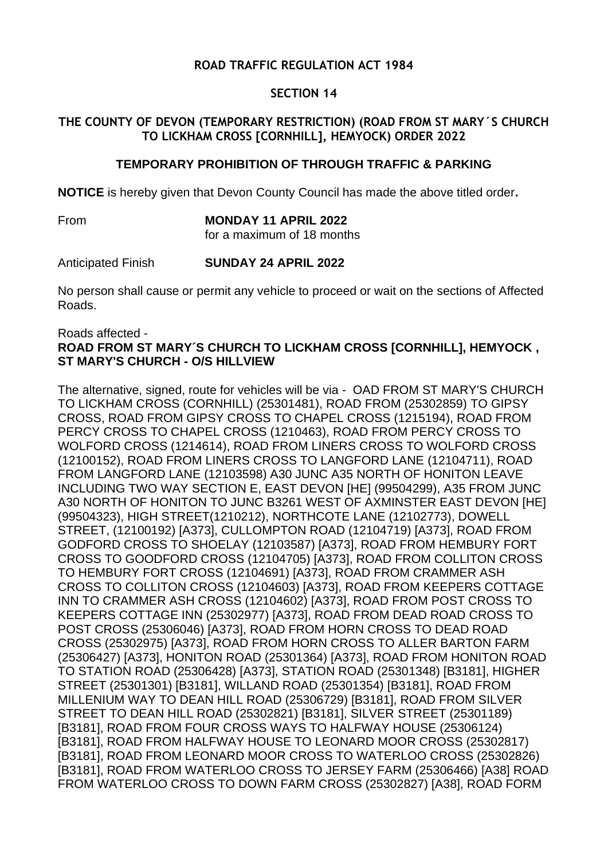# **ROAD TRAFFIC REGULATION ACT 1984**

## **SECTION 14**

# **THE COUNTY OF DEVON (TEMPORARY RESTRICTION) (ROAD FROM ST MARY´S CHURCH TO LICKHAM CROSS [CORNHILL], HEMYOCK) ORDER 2022**

## **TEMPORARY PROHIBITION OF THROUGH TRAFFIC & PARKING**

**NOTICE** is hereby given that Devon County Council has made the above titled order**.**

From **MONDAY 11 APRIL 2022**

for a maximum of 18 months

Anticipated Finish **SUNDAY 24 APRIL 2022**

No person shall cause or permit any vehicle to proceed or wait on the sections of Affected Roads.

#### Roads affected -

## **ROAD FROM ST MARY´S CHURCH TO LICKHAM CROSS [CORNHILL], HEMYOCK , ST MARY'S CHURCH - O/S HILLVIEW**

The alternative, signed, route for vehicles will be via - OAD FROM ST MARY'S CHURCH TO LICKHAM CROSS (CORNHILL) (25301481), ROAD FROM (25302859) TO GIPSY CROSS, ROAD FROM GIPSY CROSS TO CHAPEL CROSS (1215194), ROAD FROM PERCY CROSS TO CHAPEL CROSS (1210463), ROAD FROM PERCY CROSS TO WOLFORD CROSS (1214614), ROAD FROM LINERS CROSS TO WOLFORD CROSS (12100152), ROAD FROM LINERS CROSS TO LANGFORD LANE (12104711), ROAD FROM LANGFORD LANE (12103598) A30 JUNC A35 NORTH OF HONITON LEAVE INCLUDING TWO WAY SECTION E, EAST DEVON [HE] (99504299), A35 FROM JUNC A30 NORTH OF HONITON TO JUNC B3261 WEST OF AXMINSTER EAST DEVON [HE] (99504323), HIGH STREET(1210212), NORTHCOTE LANE (12102773), DOWELL STREET, (12100192) [A373], CULLOMPTON ROAD (12104719) [A373], ROAD FROM GODFORD CROSS TO SHOELAY (12103587) [A373], ROAD FROM HEMBURY FORT CROSS TO GOODFORD CROSS (12104705) [A373], ROAD FROM COLLITON CROSS TO HEMBURY FORT CROSS (12104691) [A373], ROAD FROM CRAMMER ASH CROSS TO COLLITON CROSS (12104603) [A373], ROAD FROM KEEPERS COTTAGE INN TO CRAMMER ASH CROSS (12104602) [A373], ROAD FROM POST CROSS TO KEEPERS COTTAGE INN (25302977) [A373], ROAD FROM DEAD ROAD CROSS TO POST CROSS (25306046) [A373], ROAD FROM HORN CROSS TO DEAD ROAD CROSS (25302975) [A373], ROAD FROM HORN CROSS TO ALLER BARTON FARM (25306427) [A373], HONITON ROAD (25301364) [A373], ROAD FROM HONITON ROAD TO STATION ROAD (25306428) [A373], STATION ROAD (25301348) [B3181], HIGHER STREET (25301301) [B3181], WILLAND ROAD (25301354) [B3181], ROAD FROM MILLENIUM WAY TO DEAN HILL ROAD (25306729) [B3181], ROAD FROM SILVER STREET TO DEAN HILL ROAD (25302821) [B3181], SILVER STREET (25301189) [B3181], ROAD FROM FOUR CROSS WAYS TO HALFWAY HOUSE (25306124) [B3181], ROAD FROM HALFWAY HOUSE TO LEONARD MOOR CROSS (25302817) [B3181], ROAD FROM LEONARD MOOR CROSS TO WATERLOO CROSS (25302826) [B3181], ROAD FROM WATERLOO CROSS TO JERSEY FARM (25306466) [A38] ROAD FROM WATERLOO CROSS TO DOWN FARM CROSS (25302827) [A38], ROAD FORM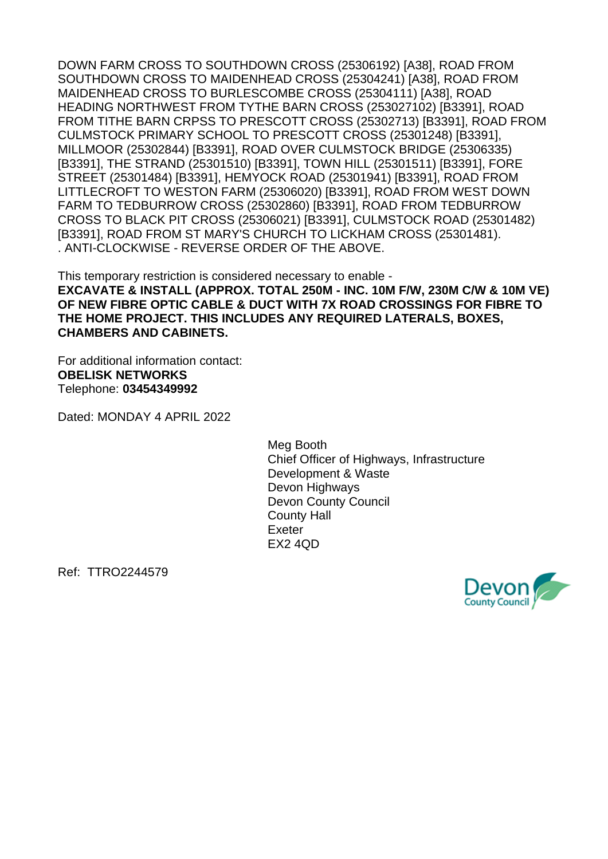DOWN FARM CROSS TO SOUTHDOWN CROSS (25306192) [A38], ROAD FROM SOUTHDOWN CROSS TO MAIDENHEAD CROSS (25304241) [A38], ROAD FROM MAIDENHEAD CROSS TO BURLESCOMBE CROSS (25304111) [A38], ROAD HEADING NORTHWEST FROM TYTHE BARN CROSS (253027102) [B3391], ROAD FROM TITHE BARN CRPSS TO PRESCOTT CROSS (25302713) [B3391], ROAD FROM CULMSTOCK PRIMARY SCHOOL TO PRESCOTT CROSS (25301248) [B3391], MILLMOOR (25302844) [B3391], ROAD OVER CULMSTOCK BRIDGE (25306335) [B3391], THE STRAND (25301510) [B3391], TOWN HILL (25301511) [B3391], FORE STREET (25301484) [B3391], HEMYOCK ROAD (25301941) [B3391], ROAD FROM LITTLECROFT TO WESTON FARM (25306020) [B3391], ROAD FROM WEST DOWN FARM TO TEDBURROW CROSS (25302860) [B3391], ROAD FROM TEDBURROW CROSS TO BLACK PIT CROSS (25306021) [B3391], CULMSTOCK ROAD (25301482) [B3391], ROAD FROM ST MARY'S CHURCH TO LICKHAM CROSS (25301481). . ANTI-CLOCKWISE - REVERSE ORDER OF THE ABOVE.

This temporary restriction is considered necessary to enable - **EXCAVATE & INSTALL (APPROX. TOTAL 250M - INC. 10M F/W, 230M C/W & 10M VE) OF NEW FIBRE OPTIC CABLE & DUCT WITH 7X ROAD CROSSINGS FOR FIBRE TO THE HOME PROJECT. THIS INCLUDES ANY REQUIRED LATERALS, BOXES, CHAMBERS AND CABINETS.**

For additional information contact: **OBELISK NETWORKS** Telephone: **03454349992**

Dated: MONDAY 4 APRIL 2022

Meg Booth Chief Officer of Highways, Infrastructure Development & Waste Devon Highways Devon County Council County Hall Exeter EX2 4QD

Ref: TTRO2244579